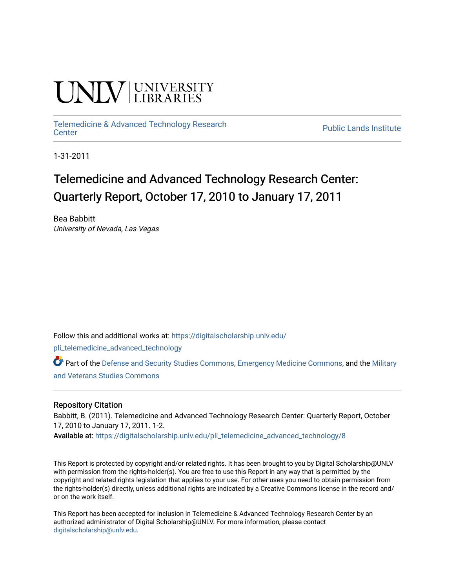# **INIVERSITY**

## [Telemedicine & Advanced Technology Research](https://digitalscholarship.unlv.edu/pli_telemedicine_advanced_technology)

**Public Lands Institute** 

1-31-2011

### Telemedicine and Advanced Technology Research Center: Quarterly Report, October 17, 2010 to January 17, 2011

Bea Babbitt University of Nevada, Las Vegas

Follow this and additional works at: [https://digitalscholarship.unlv.edu/](https://digitalscholarship.unlv.edu/pli_telemedicine_advanced_technology?utm_source=digitalscholarship.unlv.edu%2Fpli_telemedicine_advanced_technology%2F8&utm_medium=PDF&utm_campaign=PDFCoverPages)

[pli\\_telemedicine\\_advanced\\_technology](https://digitalscholarship.unlv.edu/pli_telemedicine_advanced_technology?utm_source=digitalscholarship.unlv.edu%2Fpli_telemedicine_advanced_technology%2F8&utm_medium=PDF&utm_campaign=PDFCoverPages) 

Part of the [Defense and Security Studies Commons](http://network.bepress.com/hgg/discipline/394?utm_source=digitalscholarship.unlv.edu%2Fpli_telemedicine_advanced_technology%2F8&utm_medium=PDF&utm_campaign=PDFCoverPages), [Emergency Medicine Commons,](http://network.bepress.com/hgg/discipline/685?utm_source=digitalscholarship.unlv.edu%2Fpli_telemedicine_advanced_technology%2F8&utm_medium=PDF&utm_campaign=PDFCoverPages) and the [Military](http://network.bepress.com/hgg/discipline/396?utm_source=digitalscholarship.unlv.edu%2Fpli_telemedicine_advanced_technology%2F8&utm_medium=PDF&utm_campaign=PDFCoverPages)  [and Veterans Studies Commons](http://network.bepress.com/hgg/discipline/396?utm_source=digitalscholarship.unlv.edu%2Fpli_telemedicine_advanced_technology%2F8&utm_medium=PDF&utm_campaign=PDFCoverPages) 

#### Repository Citation

Babbitt, B. (2011). Telemedicine and Advanced Technology Research Center: Quarterly Report, October 17, 2010 to January 17, 2011. 1-2.

Available at: [https://digitalscholarship.unlv.edu/pli\\_telemedicine\\_advanced\\_technology/8](https://digitalscholarship.unlv.edu/pli_telemedicine_advanced_technology/8) 

This Report is protected by copyright and/or related rights. It has been brought to you by Digital Scholarship@UNLV with permission from the rights-holder(s). You are free to use this Report in any way that is permitted by the copyright and related rights legislation that applies to your use. For other uses you need to obtain permission from the rights-holder(s) directly, unless additional rights are indicated by a Creative Commons license in the record and/ or on the work itself.

This Report has been accepted for inclusion in Telemedicine & Advanced Technology Research Center by an authorized administrator of Digital Scholarship@UNLV. For more information, please contact [digitalscholarship@unlv.edu](mailto:digitalscholarship@unlv.edu).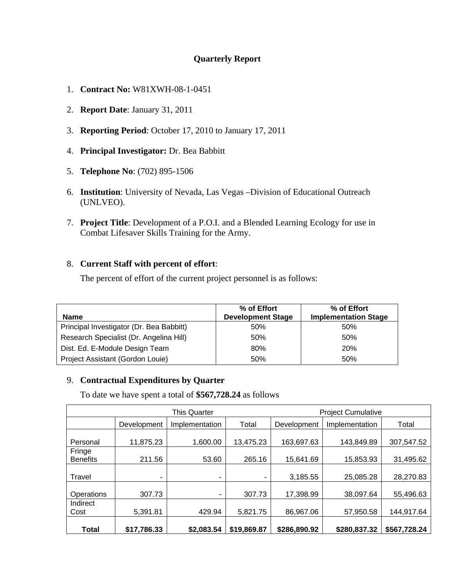#### **Quarterly Report**

- 1. **Contract No:** W81XWH-08-1-0451
- 2. **Report Date**: January 31, 2011
- 3. **Reporting Period**: October 17, 2010 to January 17, 2011
- 4. **Principal Investigator:** Dr. Bea Babbitt
- 5. **Telephone No**: (702) 895-1506
- 6. **Institution**: University of Nevada, Las Vegas –Division of Educational Outreach (UNLVEO).
- 7. **Project Title**: Development of a P.O.I. and a Blended Learning Ecology for use in Combat Lifesaver Skills Training for the Army.

#### 8. **Current Staff with percent of effort**:

The percent of effort of the current project personnel is as follows:

| <b>Name</b>                              | % of Effort<br><b>Development Stage</b> | % of Effort<br><b>Implementation Stage</b> |
|------------------------------------------|-----------------------------------------|--------------------------------------------|
| Principal Investigator (Dr. Bea Babbitt) | 50%                                     | 50%                                        |
| Research Specialist (Dr. Angelina Hill)  | 50%                                     | 50%                                        |
| Dist. Ed. E-Module Design Team           | 80%                                     | 20%                                        |
| Project Assistant (Gordon Louie)         | 50%                                     | 50%                                        |

#### 9. **Contractual Expenditures by Quarter**

To date we have spent a total of **\$567,728.24** as follows

|                           | <b>This Quarter</b> |                |             | <b>Project Cumulative</b> |                |              |
|---------------------------|---------------------|----------------|-------------|---------------------------|----------------|--------------|
|                           | Development         | Implementation | Total       | Development               | Implementation | Total        |
| Personal                  | 11,875.23           | 1,600.00       | 13,475.23   | 163,697.63                | 143,849.89     | 307,547.52   |
| Fringe<br><b>Benefits</b> | 211.56              | 53.60          | 265.16      | 15,641.69                 | 15,853.93      | 31,495.62    |
| Travel                    | ۰                   | ۰              |             | 3,185.55                  | 25,085.28      | 28,270.83    |
| Operations                | 307.73              | ۰              | 307.73      | 17,398.99                 | 38,097.64      | 55,496.63    |
| Indirect<br>Cost          | 5,391.81            | 429.94         | 5,821.75    | 86,967.06                 | 57,950.58      | 144,917.64   |
| <b>Total</b>              | \$17,786.33         | \$2,083.54     | \$19,869.87 | \$286,890.92              | \$280,837.32   | \$567,728.24 |